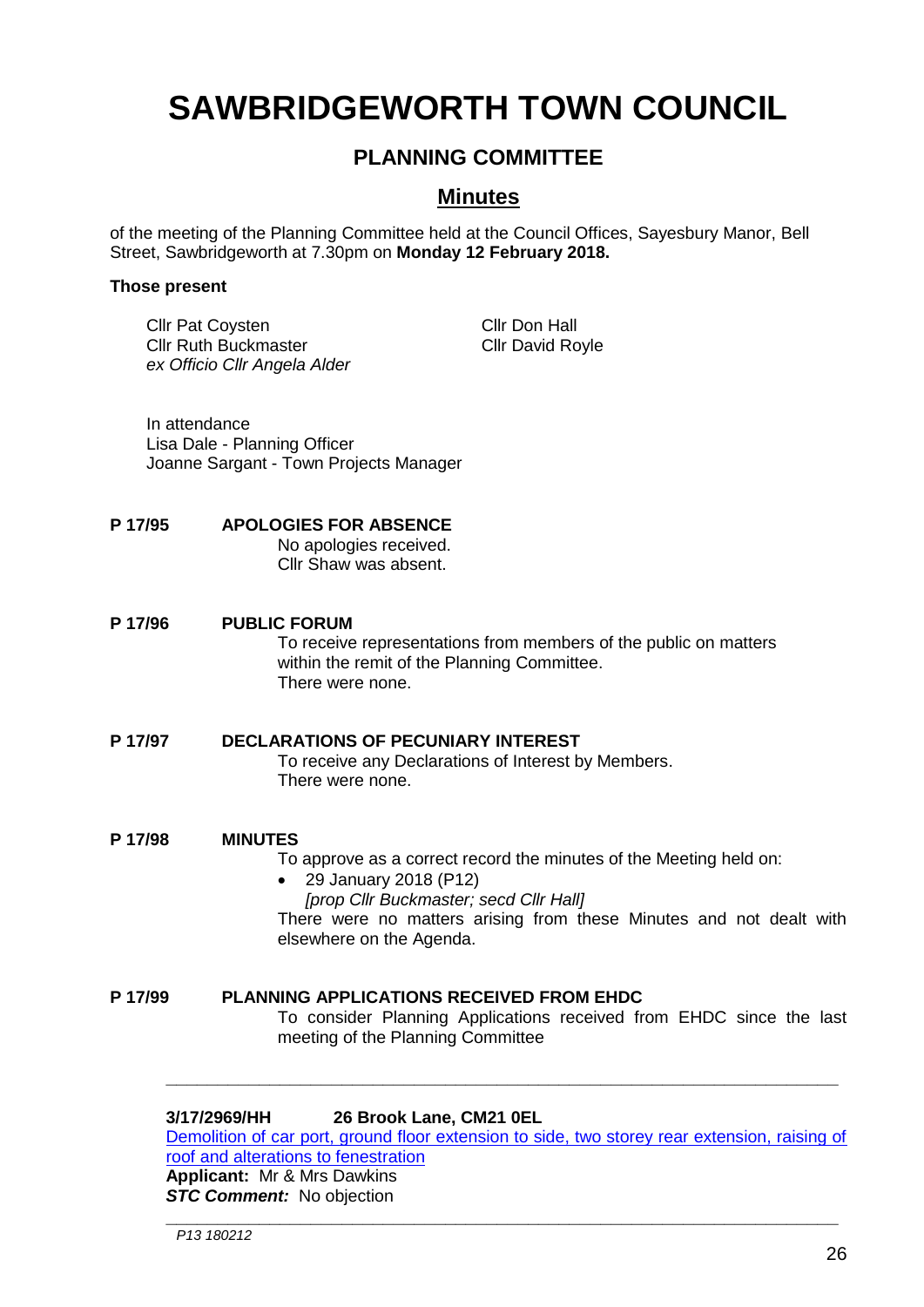# **SAWBRIDGEWORTH TOWN COUNCIL**

# **PLANNING COMMITTEE**

# **Minutes**

of the meeting of the Planning Committee held at the Council Offices, Sayesbury Manor, Bell Street, Sawbridgeworth at 7.30pm on **Monday 12 February 2018.**

#### **Those present**

Cllr Pat Coysten Cllr Don Hall Cllr Ruth Buckmaster Cllr David Royle *ex Officio Cllr Angela Alder*

In attendance Lisa Dale - Planning Officer Joanne Sargant - Town Projects Manager

## **P 17/95 APOLOGIES FOR ABSENCE**

No apologies received. Cllr Shaw was absent.

#### **P 17/96 PUBLIC FORUM**

To receive representations from members of the public on matters within the remit of the Planning Committee. There were none.

#### **P 17/97 DECLARATIONS OF PECUNIARY INTEREST**

To receive any Declarations of Interest by Members. There were none.

**P 17/98 MINUTES**

To approve as a correct record the minutes of the Meeting held on:

 29 January 2018 (P12) *[prop Cllr Buckmaster; secd Cllr Hall]* There were no matters arising from these Minutes and not dealt with elsewhere on the Agenda.

**P 17/99 PLANNING APPLICATIONS RECEIVED FROM EHDC** To consider Planning Applications received from EHDC since the last meeting of the Planning Committee

# **3/17/2969/HH 26 Brook Lane, CM21 0EL**

[Demolition of car port, ground floor extension to side, two storey rear extension, raising of](https://publicaccess.eastherts.gov.uk/online-applications/applicationDetails.do?activeTab=documents&keyVal=P1DDURGLJWR00)  [roof and alterations to fenestration](https://publicaccess.eastherts.gov.uk/online-applications/applicationDetails.do?activeTab=documents&keyVal=P1DDURGLJWR00) **Applicant:** Mr & Mrs Dawkins

**\_\_\_\_\_\_\_\_\_\_\_\_\_\_\_\_\_\_\_\_\_\_\_\_\_\_\_\_\_\_\_\_\_\_\_\_\_\_\_\_\_\_\_\_\_\_\_\_\_\_\_\_\_\_\_\_\_\_\_\_\_\_\_\_\_**

**\_\_\_\_\_\_\_\_\_\_\_\_\_\_\_\_\_\_\_\_\_\_\_\_\_\_\_\_\_\_\_\_\_\_\_\_\_\_\_\_\_\_\_\_\_\_\_\_\_\_\_\_\_\_\_\_\_\_\_\_\_\_\_\_\_**

**STC Comment:** No objection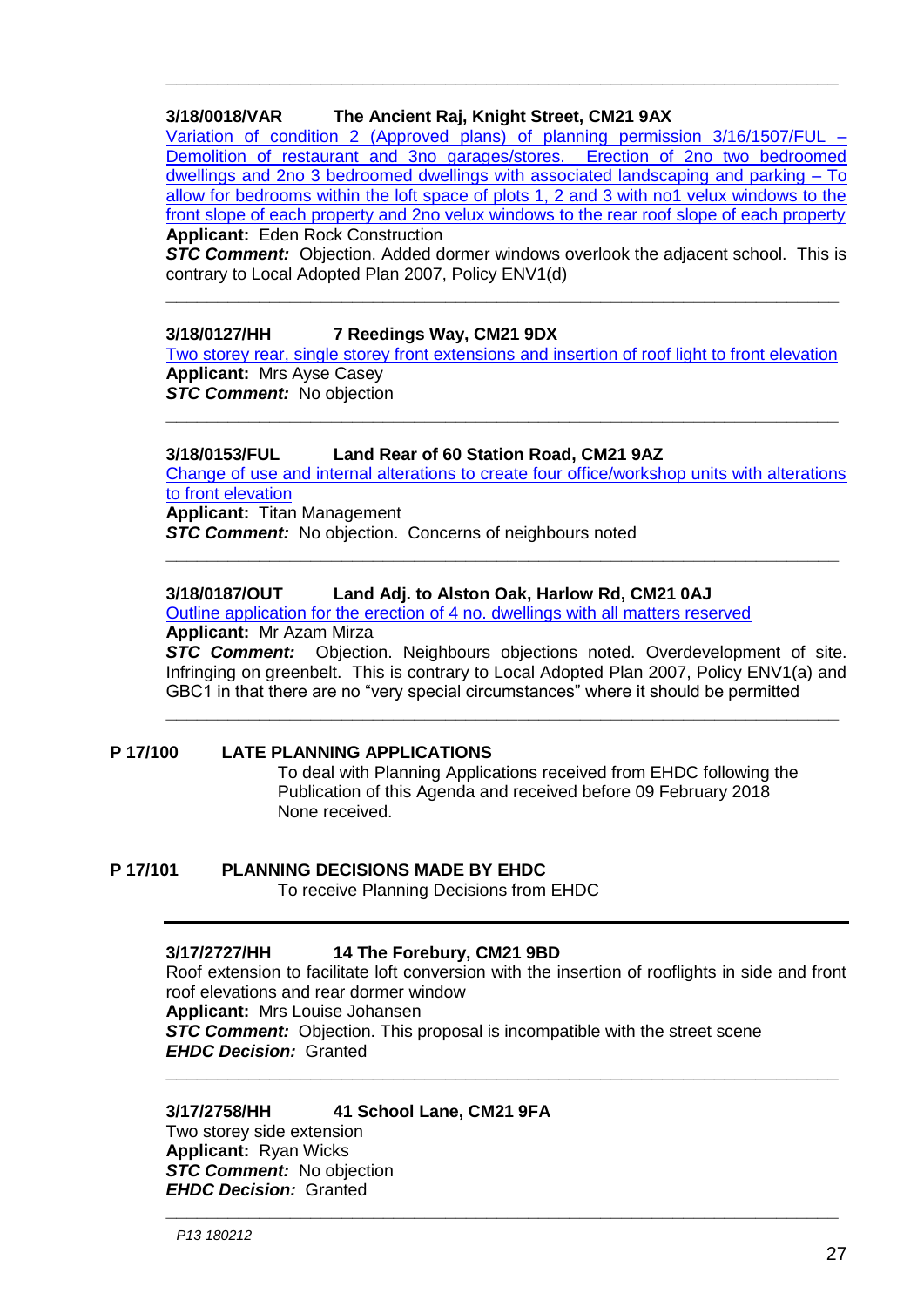# **3/18/0018/VAR The Ancient Raj, Knight Street, CM21 9AX**

[Variation of condition 2 \(Approved plans\) of planning permission 3/16/1507/FUL –](https://publicaccess.eastherts.gov.uk/online-applications/applicationDetails.do?keyVal=P255VTGLJZT00&activeTab=summary) [Demolition of restaurant and 3no garages/stores. Erection of 2no two bedroomed](https://publicaccess.eastherts.gov.uk/online-applications/applicationDetails.do?keyVal=P255VTGLJZT00&activeTab=summary)  [dwellings and 2no 3 bedroomed dwellings with associated landscaping and parking –](https://publicaccess.eastherts.gov.uk/online-applications/applicationDetails.do?keyVal=P255VTGLJZT00&activeTab=summary) To [allow for bedrooms within the loft space of plots 1, 2 and 3 with no1 velux windows to the](https://publicaccess.eastherts.gov.uk/online-applications/applicationDetails.do?keyVal=P255VTGLJZT00&activeTab=summary)  [front slope of each property and 2no velux windows to the rear roof slope of each property](https://publicaccess.eastherts.gov.uk/online-applications/applicationDetails.do?keyVal=P255VTGLJZT00&activeTab=summary) **Applicant:** Eden Rock Construction

**\_\_\_\_\_\_\_\_\_\_\_\_\_\_\_\_\_\_\_\_\_\_\_\_\_\_\_\_\_\_\_\_\_\_\_\_\_\_\_\_\_\_\_\_\_\_\_\_\_\_\_\_\_\_\_\_\_\_\_\_\_\_\_\_\_**

**STC Comment:** Objection. Added dormer windows overlook the adjacent school. This is contrary to Local Adopted Plan 2007, Policy ENV1(d)

**\_\_\_\_\_\_\_\_\_\_\_\_\_\_\_\_\_\_\_\_\_\_\_\_\_\_\_\_\_\_\_\_\_\_\_\_\_\_\_\_\_\_\_\_\_\_\_\_\_\_\_\_\_\_\_\_\_\_\_\_\_\_\_\_\_**

## **3/18/0127/HH 7 Reedings Way, CM21 9DX**

[Two storey rear, single storey front extensions and insertion of roof light to front elevation](https://publicaccess.eastherts.gov.uk/online-applications/applicationDetails.do?activeTab=documents&keyVal=P2SXFFGLK6900) **Applicant:** Mrs Ayse Casey **STC Comment:** No objection

**\_\_\_\_\_\_\_\_\_\_\_\_\_\_\_\_\_\_\_\_\_\_\_\_\_\_\_\_\_\_\_\_\_\_\_\_\_\_\_\_\_\_\_\_\_\_\_\_\_\_\_\_\_\_\_\_\_\_\_\_\_\_\_\_\_**

#### **3/18/0153/FUL Land Rear of 60 Station Road, CM21 9AZ**

[Change of use and internal alterations to create four office/workshop units with alterations](https://publicaccess.eastherts.gov.uk/online-applications/applicationDetails.do?activeTab=documents&keyVal=P30RC5GL00W00)  [to front elevation](https://publicaccess.eastherts.gov.uk/online-applications/applicationDetails.do?activeTab=documents&keyVal=P30RC5GL00W00)

**\_\_\_\_\_\_\_\_\_\_\_\_\_\_\_\_\_\_\_\_\_\_\_\_\_\_\_\_\_\_\_\_\_\_\_\_\_\_\_\_\_\_\_\_\_\_\_\_\_\_\_\_\_\_\_\_\_\_\_\_\_\_\_\_\_**

**Applicant:** Titan Management

**STC Comment:** No objection. Concerns of neighbours noted

## **3/18/0187/OUT Land Adj. to Alston Oak, Harlow Rd, CM21 0AJ**

[Outline application for the erection of 4 no. dwellings with all matters reserved](https://publicaccess.eastherts.gov.uk/online-applications/applicationDetails.do?keyVal=P3BFV3GL00B00&activeTab=summary) **Applicant:** Mr Azam Mirza

*STC Comment:* Objection. Neighbours objections noted. Overdevelopment of site. Infringing on greenbelt. This is contrary to Local Adopted Plan 2007, Policy ENV1(a) and GBC1 in that there are no "very special circumstances" where it should be permitted

**\_\_\_\_\_\_\_\_\_\_\_\_\_\_\_\_\_\_\_\_\_\_\_\_\_\_\_\_\_\_\_\_\_\_\_\_\_\_\_\_\_\_\_\_\_\_\_\_\_\_\_\_\_\_\_\_\_\_\_\_\_\_\_\_\_**

# **P 17/100 LATE PLANNING APPLICATIONS**

To deal with Planning Applications received from EHDC following the Publication of this Agenda and received before 09 February 2018 None received.

**P 17/101 PLANNING DECISIONS MADE BY EHDC** To receive Planning Decisions from EHDC

# **3/17/2727/HH 14 The Forebury, CM21 9BD**

Roof extension to facilitate loft conversion with the insertion of rooflights in side and front roof elevations and rear dormer window **Applicant:** Mrs Louise Johansen **STC Comment:** Objection. This proposal is incompatible with the street scene *EHDC Decision:* Granted **\_\_\_\_\_\_\_\_\_\_\_\_\_\_\_\_\_\_\_\_\_\_\_\_\_\_\_\_\_\_\_\_\_\_\_\_\_\_\_\_\_\_\_\_\_\_\_\_\_\_\_\_\_\_\_\_\_\_\_\_\_\_\_\_\_**

**\_\_\_\_\_\_\_\_\_\_\_\_\_\_\_\_\_\_\_\_\_\_\_\_\_\_\_\_\_\_\_\_\_\_\_\_\_\_\_\_\_\_\_\_\_\_\_\_\_\_\_\_\_\_\_\_\_\_\_\_\_\_\_\_\_**

#### **3/17/2758/HH 41 School Lane, CM21 9FA**

Two storey side extension **Applicant:** Ryan Wicks *STC Comment:* No objection *EHDC Decision:* Granted